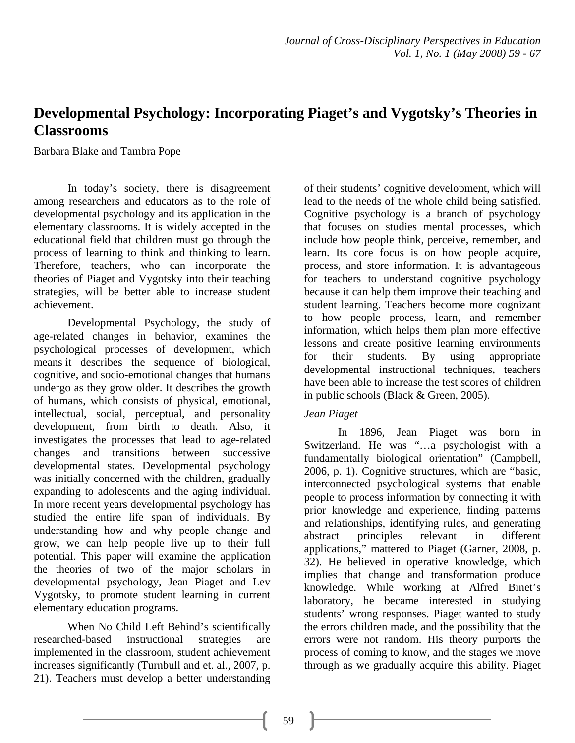# **Developmental Psychology: Incorporating Piaget's and Vygotsky's Theories in Classrooms**

Barbara Blake and Tambra Pope

In today's society, there is disagreement among researchers and educators as to the role of developmental psychology and its application in the elementary classrooms. It is widely accepted in the educational field that children must go through the process of learning to think and thinking to learn. Therefore, teachers, who can incorporate the theories of Piaget and Vygotsky into their teaching strategies, will be better able to increase student achievement.

Developmental Psychology, the study of age-related changes in behavior, examines the psychological processes of development, which means it describes the sequence of biological, cognitive, and socio-emotional changes that humans undergo as they grow older. It describes the growth of humans, which consists of physical, emotional, intellectual, social, perceptual, and personality development, from birth to death. Also, it investigates the processes that lead to age-related changes and transitions between successive developmental states. Developmental psychology was initially concerned with the children, gradually expanding to adolescents and the aging individual. In more recent years developmental psychology has studied the entire life span of individuals. By understanding how and why people change and grow, we can help people live up to their full potential. This paper will examine the application the theories of two of the major scholars in developmental psychology, Jean Piaget and Lev Vygotsky, to promote student learning in current elementary education programs.

When No Child Left Behind's scientifically researched-based instructional strategies are implemented in the classroom, student achievement increases significantly (Turnbull and et. al., 2007, p. 21). Teachers must develop a better understanding

of their students' cognitive development, which will lead to the needs of the whole child being satisfied. Cognitive psychology is a branch of psychology that focuses on studies mental processes, which include how people think, perceive, remember, and learn. Its core focus is on how people acquire, process, and store information. It is advantageous for teachers to understand cognitive psychology because it can help them improve their teaching and student learning. Teachers become more cognizant to how people process, learn, and remember information, which helps them plan more effective lessons and create positive learning environments for their students. By using appropriate developmental instructional techniques, teachers have been able to increase the test scores of children in public schools (Black & Green, 2005).

#### *Jean Piaget*

In 1896, Jean Piaget was born in Switzerland. He was "…a psychologist with a fundamentally biological orientation" (Campbell, 2006, p. 1). Cognitive structures, which are "basic, interconnected psychological systems that enable people to process information by connecting it with prior knowledge and experience, finding patterns and relationships, identifying rules, and generating abstract principles relevant in different applications," mattered to Piaget (Garner, 2008, p. 32). He believed in operative knowledge, which implies that change and transformation produce knowledge. While working at Alfred Binet's laboratory, he became interested in studying students' wrong responses. Piaget wanted to study the errors children made, and the possibility that the errors were not random. His theory purports the process of coming to know, and the stages we move through as we gradually acquire this ability. Piaget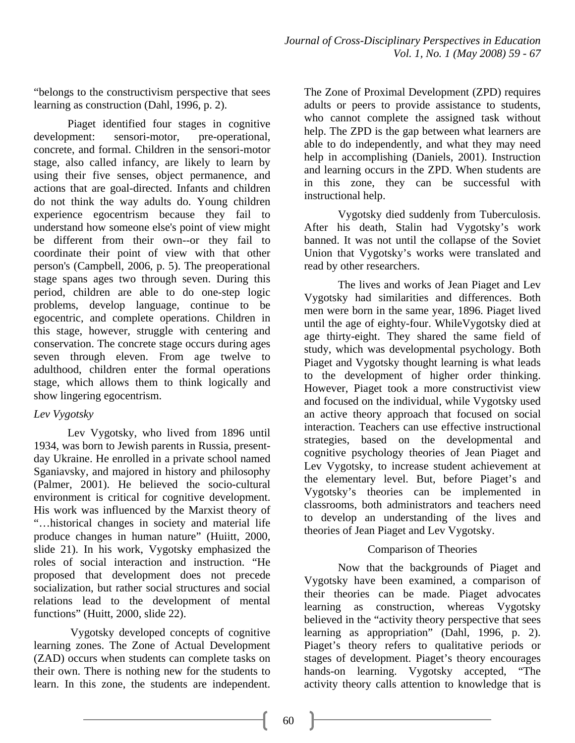"belongs to the constructivism perspective that sees learning as construction (Dahl, 1996, p. 2).

Piaget identified four stages in cognitive development: sensori-motor, pre-operational, concrete, and formal. Children in the sensori-motor stage, also called infancy, are likely to learn by using their five senses, object permanence, and actions that are goal-directed. Infants and children do not think the way adults do. Young children experience egocentrism because they fail to understand how someone else's point of view might be different from their own--or they fail to coordinate their point of view with that other person's (Campbell, 2006, p. 5). The preoperational stage spans ages two through seven. During this period, children are able to do one-step logic problems, develop language, continue to be egocentric, and complete operations. Children in this stage, however, struggle with centering and conservation. The concrete stage occurs during ages seven through eleven. From age twelve to adulthood, children enter the formal operations stage, which allows them to think logically and show lingering egocentrism.

# *Lev Vygotsky*

Lev Vygotsky, who lived from 1896 until 1934, was born to Jewish parents in Russia, presentday Ukraine. He enrolled in a private school named Sganiavsky, and majored in history and philosophy (Palmer, 2001). He believed the socio-cultural environment is critical for cognitive development. His work was influenced by the Marxist theory of "…historical changes in society and material life produce changes in human nature" (Huiitt, 2000, slide 21). In his work, Vygotsky emphasized the roles of social interaction and instruction. "He proposed that development does not precede socialization, but rather social structures and social relations lead to the development of mental functions" (Huitt, 2000, slide 22).

 Vygotsky developed concepts of cognitive learning zones. The Zone of Actual Development (ZAD) occurs when students can complete tasks on their own. There is nothing new for the students to learn. In this zone, the students are independent.

The Zone of Proximal Development (ZPD) requires adults or peers to provide assistance to students, who cannot complete the assigned task without help. The ZPD is the gap between what learners are able to do independently, and what they may need help in accomplishing (Daniels, 2001). Instruction and learning occurs in the ZPD. When students are in this zone, they can be successful with instructional help.

Vygotsky died suddenly from Tuberculosis. After his death, Stalin had Vygotsky's work banned. It was not until the collapse of the Soviet Union that Vygotsky's works were translated and read by other researchers.

The lives and works of Jean Piaget and Lev Vygotsky had similarities and differences. Both men were born in the same year, 1896. Piaget lived until the age of eighty-four. WhileVygotsky died at age thirty-eight. They shared the same field of study, which was developmental psychology. Both Piaget and Vygotsky thought learning is what leads to the development of higher order thinking. However, Piaget took a more constructivist view and focused on the individual, while Vygotsky used an active theory approach that focused on social interaction. Teachers can use effective instructional strategies, based on the developmental and cognitive psychology theories of Jean Piaget and Lev Vygotsky, to increase student achievement at the elementary level. But, before Piaget's and Vygotsky's theories can be implemented in classrooms, both administrators and teachers need to develop an understanding of the lives and theories of Jean Piaget and Lev Vygotsky.

# Comparison of Theories

Now that the backgrounds of Piaget and Vygotsky have been examined, a comparison of their theories can be made. Piaget advocates learning as construction, whereas Vygotsky believed in the "activity theory perspective that sees learning as appropriation" (Dahl, 1996, p. 2). Piaget's theory refers to qualitative periods or stages of development. Piaget's theory encourages hands-on learning. Vygotsky accepted, "The activity theory calls attention to knowledge that is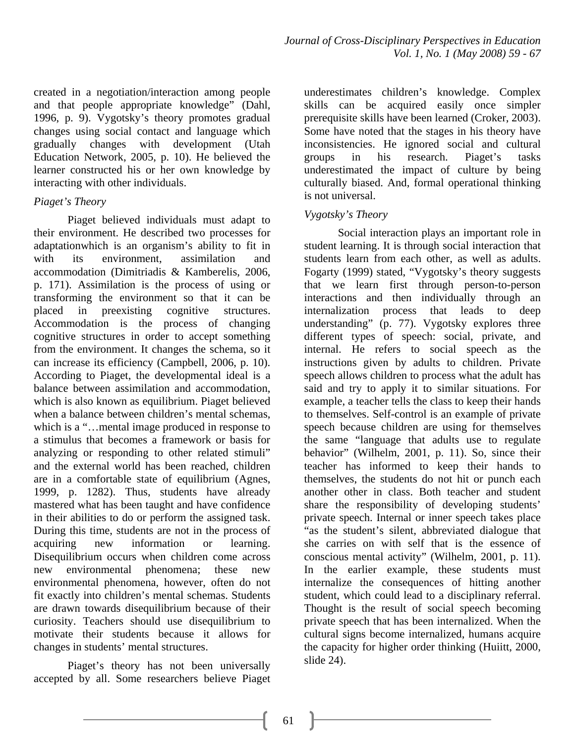created in a negotiation/interaction among people and that people appropriate knowledge" (Dahl, 1996, p. 9). Vygotsky's theory promotes gradual changes using social contact and language which gradually changes with development (Utah Education Network, 2005, p. 10). He believed the learner constructed his or her own knowledge by interacting with other individuals.

# *Piaget's Theory*

Piaget believed individuals must adapt to their environment. He described two processes for adaptationwhich is an organism's ability to fit in with its environment, assimilation and accommodation (Dimitriadis & Kamberelis, 2006, p. 171). Assimilation is the process of using or transforming the environment so that it can be placed in preexisting cognitive structures. Accommodation is the process of changing cognitive structures in order to accept something from the environment. It changes the schema, so it can increase its efficiency (Campbell, 2006, p. 10). According to Piaget, the developmental ideal is a balance between assimilation and accommodation, which is also known as equilibrium. Piaget believed when a balance between children's mental schemas, which is a "... mental image produced in response to a stimulus that becomes a framework or basis for analyzing or responding to other related stimuli" and the external world has been reached, children are in a comfortable state of equilibrium (Agnes, 1999, p. 1282). Thus, students have already mastered what has been taught and have confidence in their abilities to do or perform the assigned task. During this time, students are not in the process of acquiring new information or learning. Disequilibrium occurs when children come across new environmental phenomena; these new environmental phenomena, however, often do not fit exactly into children's mental schemas. Students are drawn towards disequilibrium because of their curiosity. Teachers should use disequilibrium to motivate their students because it allows for changes in students' mental structures.

Piaget's theory has not been universally accepted by all. Some researchers believe Piaget underestimates children's knowledge. Complex skills can be acquired easily once simpler prerequisite skills have been learned (Croker, 2003). Some have noted that the stages in his theory have inconsistencies. He ignored social and cultural groups in his research. Piaget's tasks underestimated the impact of culture by being culturally biased. And, formal operational thinking is not universal.

# *Vygotsky's Theory*

Social interaction plays an important role in student learning. It is through social interaction that students learn from each other, as well as adults. Fogarty (1999) stated, "Vygotsky's theory suggests that we learn first through person-to-person interactions and then individually through an internalization process that leads to deep understanding" (p. 77). Vygotsky explores three different types of speech: social, private, and internal. He refers to social speech as the instructions given by adults to children. Private speech allows children to process what the adult has said and try to apply it to similar situations. For example, a teacher tells the class to keep their hands to themselves. Self-control is an example of private speech because children are using for themselves the same "language that adults use to regulate behavior" (Wilhelm, 2001, p. 11). So, since their teacher has informed to keep their hands to themselves, the students do not hit or punch each another other in class. Both teacher and student share the responsibility of developing students' private speech. Internal or inner speech takes place "as the student's silent, abbreviated dialogue that she carries on with self that is the essence of conscious mental activity" (Wilhelm, 2001, p. 11). In the earlier example, these students must internalize the consequences of hitting another student, which could lead to a disciplinary referral. Thought is the result of social speech becoming private speech that has been internalized. When the cultural signs become internalized, humans acquire the capacity for higher order thinking (Huiitt, 2000, slide 24).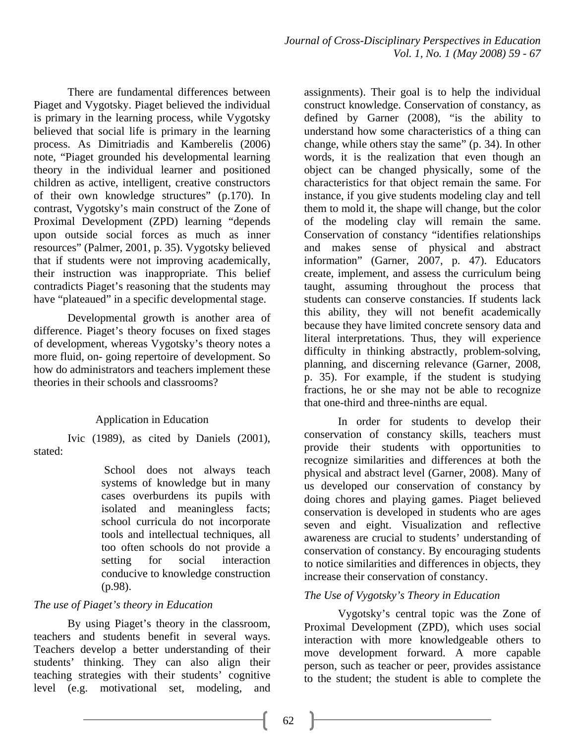There are fundamental differences between Piaget and Vygotsky. Piaget believed the individual is primary in the learning process, while Vygotsky believed that social life is primary in the learning process. As Dimitriadis and Kamberelis (2006) note, "Piaget grounded his developmental learning theory in the individual learner and positioned children as active, intelligent, creative constructors of their own knowledge structures" (p.170). In contrast, Vygotsky's main construct of the Zone of Proximal Development (ZPD) learning "depends upon outside social forces as much as inner resources" (Palmer, 2001, p. 35). Vygotsky believed that if students were not improving academically, their instruction was inappropriate. This belief contradicts Piaget's reasoning that the students may have "plateaued" in a specific developmental stage.

Developmental growth is another area of difference. Piaget's theory focuses on fixed stages of development, whereas Vygotsky's theory notes a more fluid, on- going repertoire of development. So how do administrators and teachers implement these theories in their schools and classrooms?

#### Application in Education

Ivic (1989), as cited by Daniels (2001), stated:

> School does not always teach systems of knowledge but in many cases overburdens its pupils with isolated and meaningless facts; school curricula do not incorporate tools and intellectual techniques, all too often schools do not provide a setting for social interaction conducive to knowledge construction (p.98).

# *The use of Piaget's theory in Education*

By using Piaget's theory in the classroom, teachers and students benefit in several ways. Teachers develop a better understanding of their students' thinking. They can also align their teaching strategies with their students' cognitive level (e.g. motivational set, modeling, and assignments). Their goal is to help the individual construct knowledge. Conservation of constancy, as defined by Garner (2008), "is the ability to understand how some characteristics of a thing can change, while others stay the same" (p. 34). In other words, it is the realization that even though an object can be changed physically, some of the characteristics for that object remain the same. For instance, if you give students modeling clay and tell them to mold it, the shape will change, but the color of the modeling clay will remain the same. Conservation of constancy "identifies relationships and makes sense of physical and abstract information" (Garner, 2007, p. 47). Educators create, implement, and assess the curriculum being taught, assuming throughout the process that students can conserve constancies. If students lack this ability, they will not benefit academically because they have limited concrete sensory data and literal interpretations. Thus, they will experience difficulty in thinking abstractly, problem-solving, planning, and discerning relevance (Garner, 2008, p. 35). For example, if the student is studying fractions, he or she may not be able to recognize that one-third and three-ninths are equal.

In order for students to develop their conservation of constancy skills, teachers must provide their students with opportunities to recognize similarities and differences at both the physical and abstract level (Garner, 2008). Many of us developed our conservation of constancy by doing chores and playing games. Piaget believed conservation is developed in students who are ages seven and eight. Visualization and reflective awareness are crucial to students' understanding of conservation of constancy. By encouraging students to notice similarities and differences in objects, they increase their conservation of constancy.

#### *The Use of Vygotsky's Theory in Education*

Vygotsky's central topic was the Zone of Proximal Development (ZPD), which uses social interaction with more knowledgeable others to move development forward. A more capable person, such as teacher or peer, provides assistance to the student; the student is able to complete the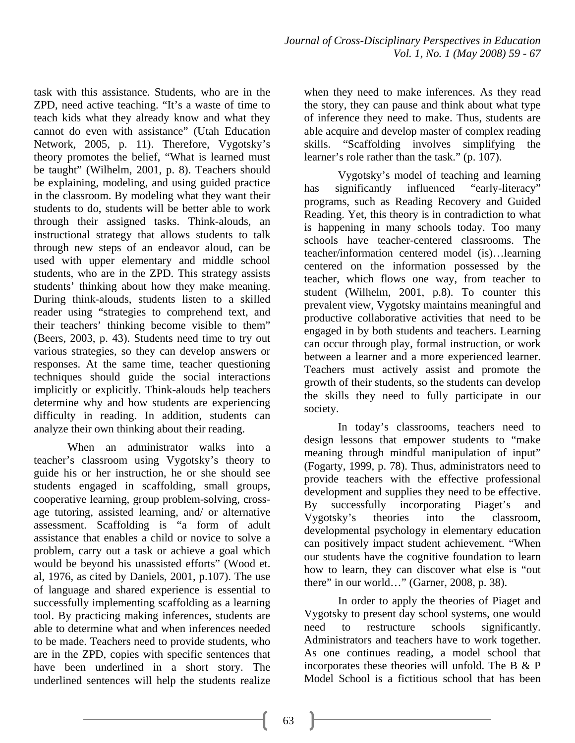task with this assistance. Students, who are in the ZPD, need active teaching. "It's a waste of time to teach kids what they already know and what they cannot do even with assistance" (Utah Education Network, 2005, p. 11). Therefore, Vygotsky's theory promotes the belief, "What is learned must be taught" (Wilhelm, 2001, p. 8). Teachers should be explaining, modeling, and using guided practice in the classroom. By modeling what they want their students to do, students will be better able to work through their assigned tasks. Think-alouds, an instructional strategy that allows students to talk through new steps of an endeavor aloud, can be used with upper elementary and middle school students, who are in the ZPD. This strategy assists students' thinking about how they make meaning. During think-alouds, students listen to a skilled reader using "strategies to comprehend text, and their teachers' thinking become visible to them" (Beers, 2003, p. 43). Students need time to try out various strategies, so they can develop answers or responses. At the same time, teacher questioning techniques should guide the social interactions implicitly or explicitly. Think-alouds help teachers determine why and how students are experiencing difficulty in reading. In addition, students can analyze their own thinking about their reading.

When an administrator walks into a teacher's classroom using Vygotsky's theory to guide his or her instruction, he or she should see students engaged in scaffolding, small groups, cooperative learning, group problem-solving, crossage tutoring, assisted learning, and/ or alternative assessment. Scaffolding is "a form of adult assistance that enables a child or novice to solve a problem, carry out a task or achieve a goal which would be beyond his unassisted efforts" (Wood et. al, 1976, as cited by Daniels, 2001, p.107). The use of language and shared experience is essential to successfully implementing scaffolding as a learning tool. By practicing making inferences, students are able to determine what and when inferences needed to be made. Teachers need to provide students, who are in the ZPD, copies with specific sentences that have been underlined in a short story. The underlined sentences will help the students realize

when they need to make inferences. As they read the story, they can pause and think about what type of inference they need to make. Thus, students are able acquire and develop master of complex reading skills. "Scaffolding involves simplifying the learner's role rather than the task." (p. 107).

Vygotsky's model of teaching and learning has significantly influenced "early-literacy" programs, such as Reading Recovery and Guided Reading. Yet, this theory is in contradiction to what is happening in many schools today. Too many schools have teacher-centered classrooms. The teacher/information centered model (is)…learning centered on the information possessed by the teacher, which flows one way, from teacher to student (Wilhelm, 2001, p.8). To counter this prevalent view, Vygotsky maintains meaningful and productive collaborative activities that need to be engaged in by both students and teachers. Learning can occur through play, formal instruction, or work between a learner and a more experienced learner. Teachers must actively assist and promote the growth of their students, so the students can develop the skills they need to fully participate in our society.

In today's classrooms, teachers need to design lessons that empower students to "make meaning through mindful manipulation of input" (Fogarty, 1999, p. 78). Thus, administrators need to provide teachers with the effective professional development and supplies they need to be effective. By successfully incorporating Piaget's and Vygotsky's theories into the classroom, developmental psychology in elementary education can positively impact student achievement. "When our students have the cognitive foundation to learn how to learn, they can discover what else is "out there" in our world…" (Garner, 2008, p. 38).

In order to apply the theories of Piaget and Vygotsky to present day school systems, one would need to restructure schools significantly. Administrators and teachers have to work together. As one continues reading, a model school that incorporates these theories will unfold. The B & P Model School is a fictitious school that has been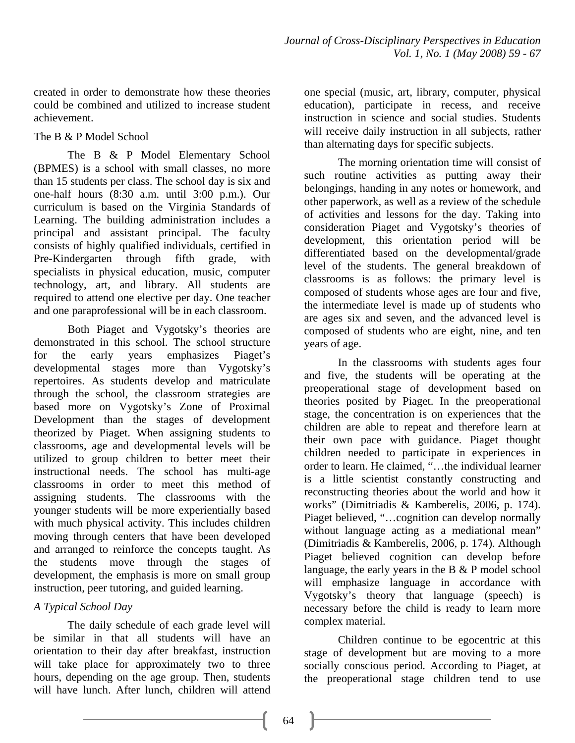created in order to demonstrate how these theories could be combined and utilized to increase student achievement.

## The B & P Model School

The B & P Model Elementary School (BPMES) is a school with small classes, no more than 15 students per class. The school day is six and one-half hours (8:30 a.m. until 3:00 p.m.). Our curriculum is based on the Virginia Standards of Learning. The building administration includes a principal and assistant principal. The faculty consists of highly qualified individuals, certified in Pre-Kindergarten through fifth grade, with specialists in physical education, music, computer technology, art, and library. All students are required to attend one elective per day. One teacher and one paraprofessional will be in each classroom.

Both Piaget and Vygotsky's theories are demonstrated in this school. The school structure for the early years emphasizes Piaget's developmental stages more than Vygotsky's repertoires. As students develop and matriculate through the school, the classroom strategies are based more on Vygotsky's Zone of Proximal Development than the stages of development theorized by Piaget. When assigning students to classrooms, age and developmental levels will be utilized to group children to better meet their instructional needs. The school has multi-age classrooms in order to meet this method of assigning students. The classrooms with the younger students will be more experientially based with much physical activity. This includes children moving through centers that have been developed and arranged to reinforce the concepts taught. As the students move through the stages of development, the emphasis is more on small group instruction, peer tutoring, and guided learning.

# *A Typical School Day*

The daily schedule of each grade level will be similar in that all students will have an orientation to their day after breakfast, instruction will take place for approximately two to three hours, depending on the age group. Then, students will have lunch. After lunch, children will attend

one special (music, art, library, computer, physical education), participate in recess, and receive instruction in science and social studies. Students will receive daily instruction in all subjects, rather than alternating days for specific subjects.

The morning orientation time will consist of such routine activities as putting away their belongings, handing in any notes or homework, and other paperwork, as well as a review of the schedule of activities and lessons for the day. Taking into consideration Piaget and Vygotsky's theories of development, this orientation period will be differentiated based on the developmental/grade level of the students. The general breakdown of classrooms is as follows: the primary level is composed of students whose ages are four and five, the intermediate level is made up of students who are ages six and seven, and the advanced level is composed of students who are eight, nine, and ten years of age.

In the classrooms with students ages four and five, the students will be operating at the preoperational stage of development based on theories posited by Piaget. In the preoperational stage, the concentration is on experiences that the children are able to repeat and therefore learn at their own pace with guidance. Piaget thought children needed to participate in experiences in order to learn. He claimed, "…the individual learner is a little scientist constantly constructing and reconstructing theories about the world and how it works" (Dimitriadis & Kamberelis, 2006, p. 174). Piaget believed, "…cognition can develop normally without language acting as a mediational mean" (Dimitriadis & Kamberelis, 2006, p. 174). Although Piaget believed cognition can develop before language, the early years in the B & P model school will emphasize language in accordance with Vygotsky's theory that language (speech) is necessary before the child is ready to learn more complex material.

Children continue to be egocentric at this stage of development but are moving to a more socially conscious period. According to Piaget, at the preoperational stage children tend to use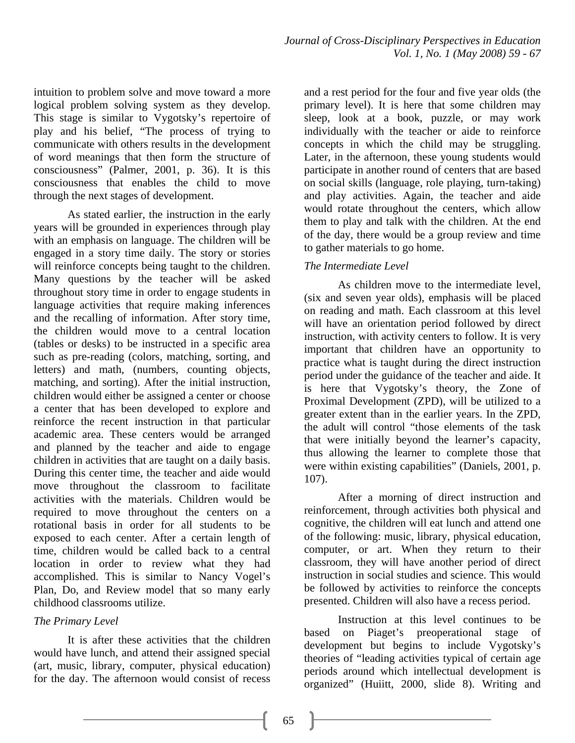intuition to problem solve and move toward a more logical problem solving system as they develop. This stage is similar to Vygotsky's repertoire of play and his belief, "The process of trying to communicate with others results in the development of word meanings that then form the structure of consciousness" (Palmer, 2001, p. 36). It is this consciousness that enables the child to move through the next stages of development.

As stated earlier, the instruction in the early years will be grounded in experiences through play with an emphasis on language. The children will be engaged in a story time daily. The story or stories will reinforce concepts being taught to the children. Many questions by the teacher will be asked throughout story time in order to engage students in language activities that require making inferences and the recalling of information. After story time, the children would move to a central location (tables or desks) to be instructed in a specific area such as pre-reading (colors, matching, sorting, and letters) and math, (numbers, counting objects, matching, and sorting). After the initial instruction, children would either be assigned a center or choose a center that has been developed to explore and reinforce the recent instruction in that particular academic area. These centers would be arranged and planned by the teacher and aide to engage children in activities that are taught on a daily basis. During this center time, the teacher and aide would move throughout the classroom to facilitate activities with the materials. Children would be required to move throughout the centers on a rotational basis in order for all students to be exposed to each center. After a certain length of time, children would be called back to a central location in order to review what they had accomplished. This is similar to Nancy Vogel's Plan, Do, and Review model that so many early childhood classrooms utilize.

#### *The Primary Level*

It is after these activities that the children would have lunch, and attend their assigned special (art, music, library, computer, physical education) for the day. The afternoon would consist of recess

and a rest period for the four and five year olds (the primary level). It is here that some children may sleep, look at a book, puzzle, or may work individually with the teacher or aide to reinforce concepts in which the child may be struggling. Later, in the afternoon, these young students would participate in another round of centers that are based on social skills (language, role playing, turn-taking) and play activities. Again, the teacher and aide would rotate throughout the centers, which allow them to play and talk with the children. At the end of the day, there would be a group review and time to gather materials to go home.

## *The Intermediate Level*

As children move to the intermediate level, (six and seven year olds), emphasis will be placed on reading and math. Each classroom at this level will have an orientation period followed by direct instruction, with activity centers to follow. It is very important that children have an opportunity to practice what is taught during the direct instruction period under the guidance of the teacher and aide. It is here that Vygotsky's theory, the Zone of Proximal Development (ZPD), will be utilized to a greater extent than in the earlier years. In the ZPD, the adult will control "those elements of the task that were initially beyond the learner's capacity, thus allowing the learner to complete those that were within existing capabilities" (Daniels, 2001, p. 107).

After a morning of direct instruction and reinforcement, through activities both physical and cognitive, the children will eat lunch and attend one of the following: music, library, physical education, computer, or art. When they return to their classroom, they will have another period of direct instruction in social studies and science. This would be followed by activities to reinforce the concepts presented. Children will also have a recess period.

Instruction at this level continues to be based on Piaget's preoperational stage of development but begins to include Vygotsky's theories of "leading activities typical of certain age periods around which intellectual development is organized" (Huiitt, 2000, slide 8). Writing and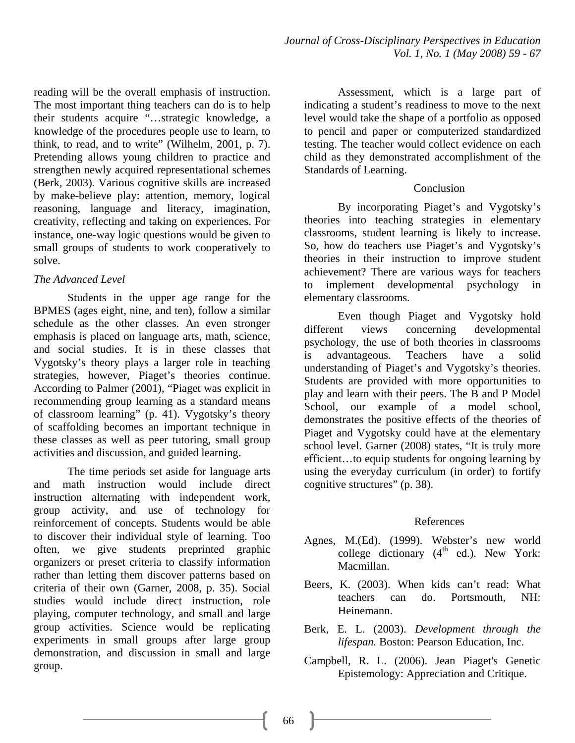reading will be the overall emphasis of instruction. The most important thing teachers can do is to help their students acquire "…strategic knowledge, a knowledge of the procedures people use to learn, to think, to read, and to write" (Wilhelm, 2001, p. 7). Pretending allows young children to practice and strengthen newly acquired representational schemes (Berk, 2003). Various cognitive skills are increased by make-believe play: attention, memory, logical reasoning, language and literacy, imagination, creativity, reflecting and taking on experiences. For instance, one-way logic questions would be given to small groups of students to work cooperatively to solve.

## *The Advanced Level*

Students in the upper age range for the BPMES (ages eight, nine, and ten), follow a similar schedule as the other classes. An even stronger emphasis is placed on language arts, math, science, and social studies. It is in these classes that Vygotsky's theory plays a larger role in teaching strategies, however, Piaget's theories continue. According to Palmer (2001), "Piaget was explicit in recommending group learning as a standard means of classroom learning" (p. 41). Vygotsky's theory of scaffolding becomes an important technique in these classes as well as peer tutoring, small group activities and discussion, and guided learning.

The time periods set aside for language arts and math instruction would include direct instruction alternating with independent work, group activity, and use of technology for reinforcement of concepts. Students would be able to discover their individual style of learning. Too often, we give students preprinted graphic organizers or preset criteria to classify information rather than letting them discover patterns based on criteria of their own (Garner, 2008, p. 35). Social studies would include direct instruction, role playing, computer technology, and small and large group activities. Science would be replicating experiments in small groups after large group demonstration, and discussion in small and large group.

Assessment, which is a large part of indicating a student's readiness to move to the next level would take the shape of a portfolio as opposed to pencil and paper or computerized standardized testing. The teacher would collect evidence on each child as they demonstrated accomplishment of the Standards of Learning.

## Conclusion

 By incorporating Piaget's and Vygotsky's theories into teaching strategies in elementary classrooms, student learning is likely to increase. So, how do teachers use Piaget's and Vygotsky's theories in their instruction to improve student achievement? There are various ways for teachers to implement developmental psychology in elementary classrooms.

Even though Piaget and Vygotsky hold different views concerning developmental psychology, the use of both theories in classrooms is advantageous. Teachers have a solid understanding of Piaget's and Vygotsky's theories. Students are provided with more opportunities to play and learn with their peers. The B and P Model School, our example of a model school, demonstrates the positive effects of the theories of Piaget and Vygotsky could have at the elementary school level. Garner (2008) states, "It is truly more efficient…to equip students for ongoing learning by using the everyday curriculum (in order) to fortify cognitive structures" (p. 38).

# References

- Agnes, M.(Ed). (1999). Webster's new world college dictionary  $(4<sup>th</sup>$  ed.). New York: Macmillan.
- Beers, K. (2003). When kids can't read: What teachers can do. Portsmouth, NH: Heinemann.
- Berk, E. L. (2003). *Development through the lifespan.* Boston: Pearson Education, Inc.
- Campbell, R. L. (2006). Jean Piaget's Genetic Epistemology: Appreciation and Critique.